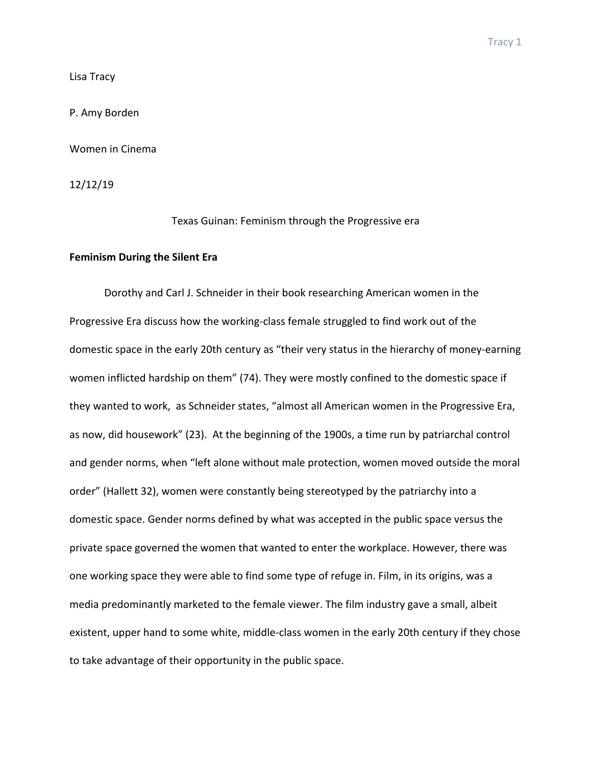Lisa Tracy

P. Amy Borden

Women in Cinema

12/12/19

Texas Guinan: Feminism through the Progressive era

# **Feminism During the Silent Era**

Dorothy and Carl J. Schneider in their book researching American women in the Progressive Era discuss how the working-class female struggled to find work out of the domestic space in the early 20th century as "their very status in the hierarchy of money-earning women inflicted hardship on them" (74). They were mostly confined to the domestic space if they wanted to work, as Schneider states, "almost all American women in the Progressive Era, as now, did housework" (23). At the beginning of the 1900s, a time run by patriarchal control and gender norms, when "left alone without male protection, women moved outside the moral order" (Hallett 32), women were constantly being stereotyped by the patriarchy into a domestic space. Gender norms defined by what was accepted in the public space versus the private space governed the women that wanted to enter the workplace. However, there was one working space they were able to find some type of refuge in. Film, in its origins, was a media predominantly marketed to the female viewer. The film industry gave a small, albeit existent, upper hand to some white, middle-class women in the early 20th century if they chose to take advantage of their opportunity in the public space.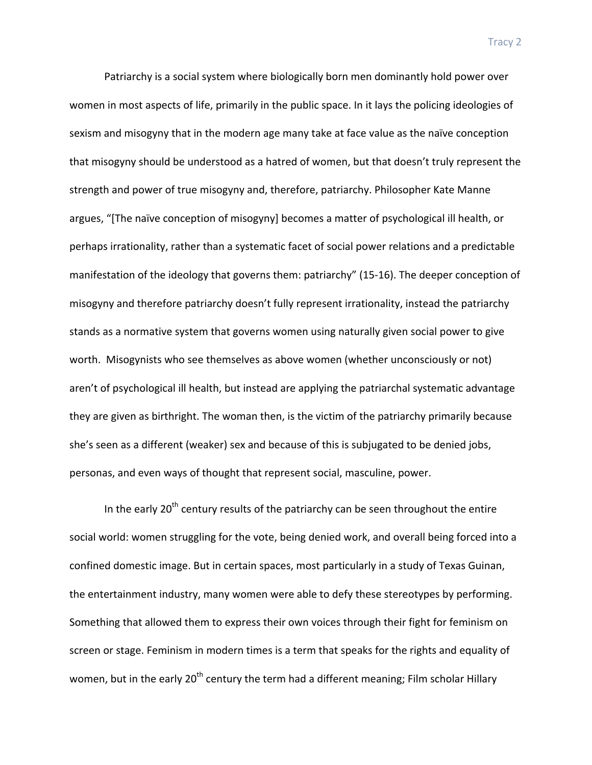Patriarchy is a social system where biologically born men dominantly hold power over women in most aspects of life, primarily in the public space. In it lays the policing ideologies of sexism and misogyny that in the modern age many take at face value as the naïve conception that misogyny should be understood as a hatred of women, but that doesn't truly represent the strength and power of true misogyny and, therefore, patriarchy. Philosopher Kate Manne argues, "[The naïve conception of misogyny] becomes a matter of psychological ill health, or perhaps irrationality, rather than a systematic facet of social power relations and a predictable manifestation of the ideology that governs them: patriarchy" (15-16). The deeper conception of misogyny and therefore patriarchy doesn't fully represent irrationality, instead the patriarchy stands as a normative system that governs women using naturally given social power to give worth. Misogynists who see themselves as above women (whether unconsciously or not) aren't of psychological ill health, but instead are applying the patriarchal systematic advantage they are given as birthright. The woman then, is the victim of the patriarchy primarily because she's seen as a different (weaker) sex and because of this is subjugated to be denied jobs, personas, and even ways of thought that represent social, masculine, power.

In the early  $20<sup>th</sup>$  century results of the patriarchy can be seen throughout the entire social world: women struggling for the vote, being denied work, and overall being forced into a confined domestic image. But in certain spaces, most particularly in a study of Texas Guinan, the entertainment industry, many women were able to defy these stereotypes by performing. Something that allowed them to express their own voices through their fight for feminism on screen or stage. Feminism in modern times is a term that speaks for the rights and equality of women, but in the early 20<sup>th</sup> century the term had a different meaning; Film scholar Hillary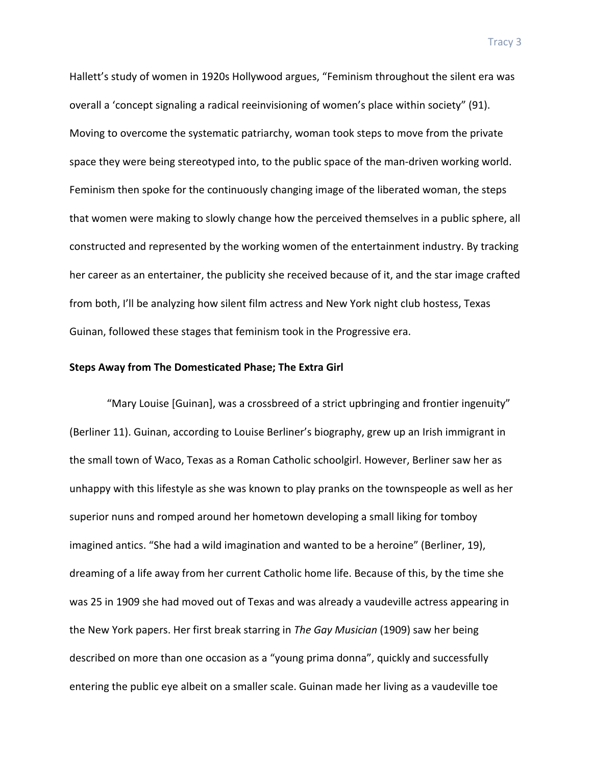Hallett's study of women in 1920s Hollywood argues, "Feminism throughout the silent era was overall a 'concept signaling a radical reeinvisioning of women's place within society" (91). Moving to overcome the systematic patriarchy, woman took steps to move from the private space they were being stereotyped into, to the public space of the man-driven working world. Feminism then spoke for the continuously changing image of the liberated woman, the steps that women were making to slowly change how the perceived themselves in a public sphere, all constructed and represented by the working women of the entertainment industry. By tracking her career as an entertainer, the publicity she received because of it, and the star image crafted from both, I'll be analyzing how silent film actress and New York night club hostess, Texas Guinan, followed these stages that feminism took in the Progressive era.

# **Steps Away from The Domesticated Phase; The Extra Girl**

"Mary Louise [Guinan], was a crossbreed of a strict upbringing and frontier ingenuity" (Berliner 11). Guinan, according to Louise Berliner's biography, grew up an Irish immigrant in the small town of Waco, Texas as a Roman Catholic schoolgirl. However, Berliner saw her as unhappy with this lifestyle as she was known to play pranks on the townspeople as well as her superior nuns and romped around her hometown developing a small liking for tomboy imagined antics. "She had a wild imagination and wanted to be a heroine" (Berliner, 19), dreaming of a life away from her current Catholic home life. Because of this, by the time she was 25 in 1909 she had moved out of Texas and was already a vaudeville actress appearing in the New York papers. Her first break starring in *The Gay Musician* (1909) saw her being described on more than one occasion as a "young prima donna", quickly and successfully entering the public eye albeit on a smaller scale. Guinan made her living as a vaudeville toe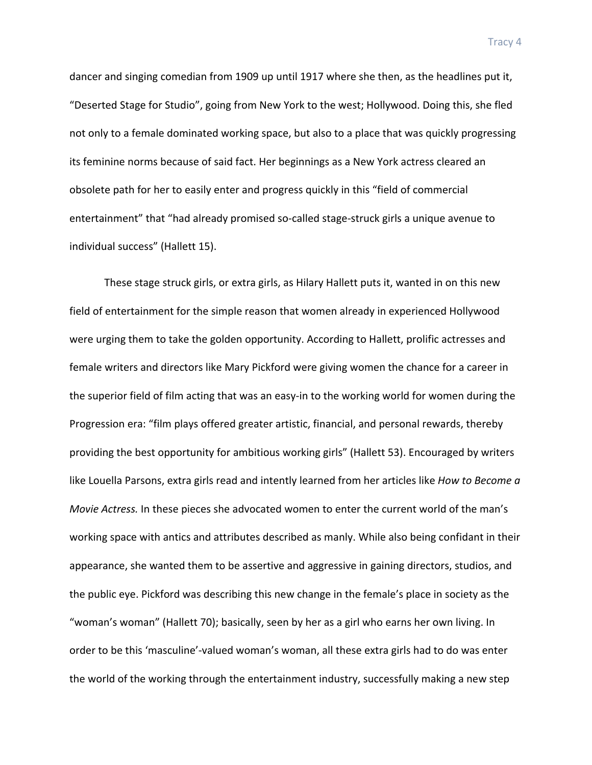dancer and singing comedian from 1909 up until 1917 where she then, as the headlines put it, "Deserted Stage for Studio", going from New York to the west; Hollywood. Doing this, she fled not only to a female dominated working space, but also to a place that was quickly progressing its feminine norms because of said fact. Her beginnings as a New York actress cleared an obsolete path for her to easily enter and progress quickly in this "field of commercial entertainment" that "had already promised so-called stage-struck girls a unique avenue to individual success" (Hallett 15).

These stage struck girls, or extra girls, as Hilary Hallett puts it, wanted in on this new field of entertainment for the simple reason that women already in experienced Hollywood were urging them to take the golden opportunity. According to Hallett, prolific actresses and female writers and directors like Mary Pickford were giving women the chance for a career in the superior field of film acting that was an easy-in to the working world for women during the Progression era: "film plays offered greater artistic, financial, and personal rewards, thereby providing the best opportunity for ambitious working girls" (Hallett 53). Encouraged by writers like Louella Parsons, extra girls read and intently learned from her articles like *How to Become a Movie Actress.* In these pieces she advocated women to enter the current world of the man's working space with antics and attributes described as manly. While also being confidant in their appearance, she wanted them to be assertive and aggressive in gaining directors, studios, and the public eye. Pickford was describing this new change in the female's place in society as the "woman's woman" (Hallett 70); basically, seen by her as a girl who earns her own living. In order to be this 'masculine'-valued woman's woman, all these extra girls had to do was enter the world of the working through the entertainment industry, successfully making a new step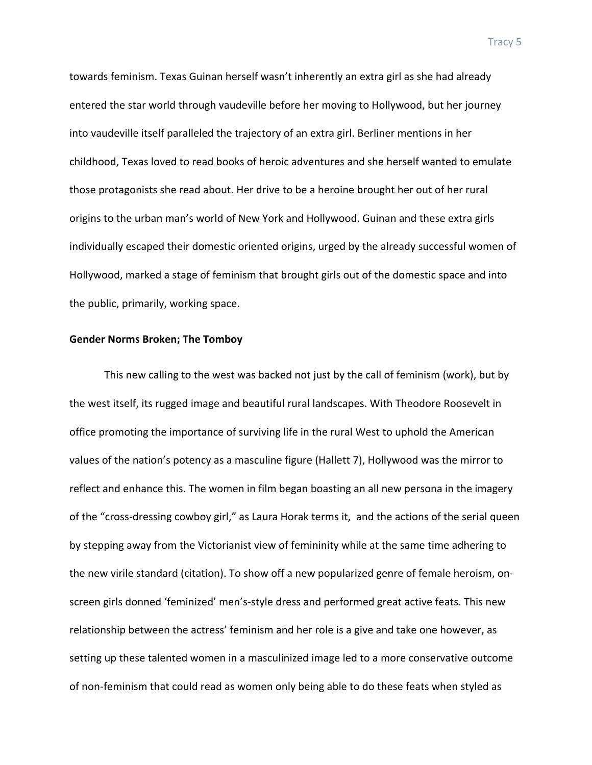towards feminism. Texas Guinan herself wasn't inherently an extra girl as she had already entered the star world through vaudeville before her moving to Hollywood, but her journey into vaudeville itself paralleled the trajectory of an extra girl. Berliner mentions in her childhood, Texas loved to read books of heroic adventures and she herself wanted to emulate those protagonists she read about. Her drive to be a heroine brought her out of her rural origins to the urban man's world of New York and Hollywood. Guinan and these extra girls individually escaped their domestic oriented origins, urged by the already successful women of Hollywood, marked a stage of feminism that brought girls out of the domestic space and into the public, primarily, working space.

#### **Gender Norms Broken; The Tomboy**

This new calling to the west was backed not just by the call of feminism (work), but by the west itself, its rugged image and beautiful rural landscapes. With Theodore Roosevelt in office promoting the importance of surviving life in the rural West to uphold the American values of the nation's potency as a masculine figure (Hallett 7), Hollywood was the mirror to reflect and enhance this. The women in film began boasting an all new persona in the imagery of the "cross-dressing cowboy girl," as Laura Horak terms it, and the actions of the serial queen by stepping away from the Victorianist view of femininity while at the same time adhering to the new virile standard (citation). To show off a new popularized genre of female heroism, onscreen girls donned 'feminized' men's-style dress and performed great active feats. This new relationship between the actress' feminism and her role is a give and take one however, as setting up these talented women in a masculinized image led to a more conservative outcome of non-feminism that could read as women only being able to do these feats when styled as

Tracy 5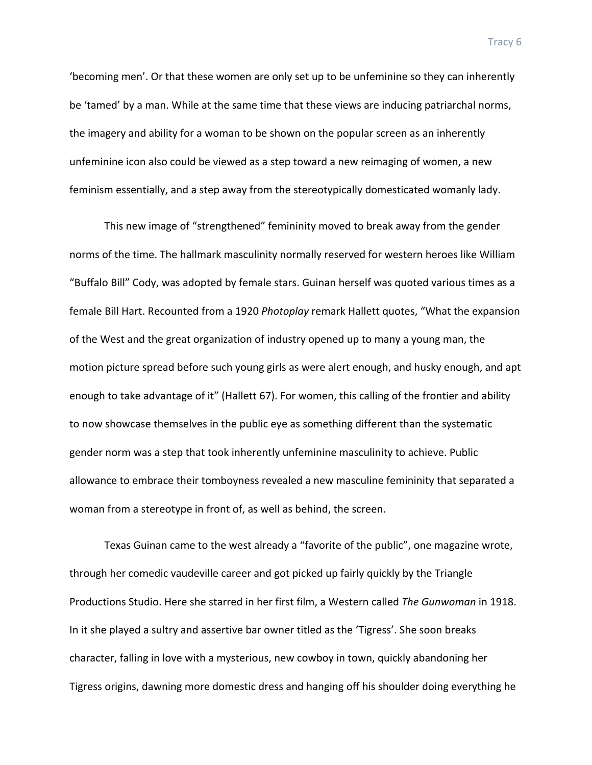'becoming men'. Or that these women are only set up to be unfeminine so they can inherently be 'tamed' by a man. While at the same time that these views are inducing patriarchal norms, the imagery and ability for a woman to be shown on the popular screen as an inherently unfeminine icon also could be viewed as a step toward a new reimaging of women, a new feminism essentially, and a step away from the stereotypically domesticated womanly lady.

This new image of "strengthened" femininity moved to break away from the gender norms of the time. The hallmark masculinity normally reserved for western heroes like William "Buffalo Bill" Cody, was adopted by female stars. Guinan herself was quoted various times as a female Bill Hart. Recounted from a 1920 *Photoplay* remark Hallett quotes, "What the expansion of the West and the great organization of industry opened up to many a young man, the motion picture spread before such young girls as were alert enough, and husky enough, and apt enough to take advantage of it" (Hallett 67). For women, this calling of the frontier and ability to now showcase themselves in the public eye as something different than the systematic gender norm was a step that took inherently unfeminine masculinity to achieve. Public allowance to embrace their tomboyness revealed a new masculine femininity that separated a woman from a stereotype in front of, as well as behind, the screen.

Texas Guinan came to the west already a "favorite of the public", one magazine wrote, through her comedic vaudeville career and got picked up fairly quickly by the Triangle Productions Studio. Here she starred in her first film, a Western called *The Gunwoman* in 1918. In it she played a sultry and assertive bar owner titled as the 'Tigress'. She soon breaks character, falling in love with a mysterious, new cowboy in town, quickly abandoning her Tigress origins, dawning more domestic dress and hanging off his shoulder doing everything he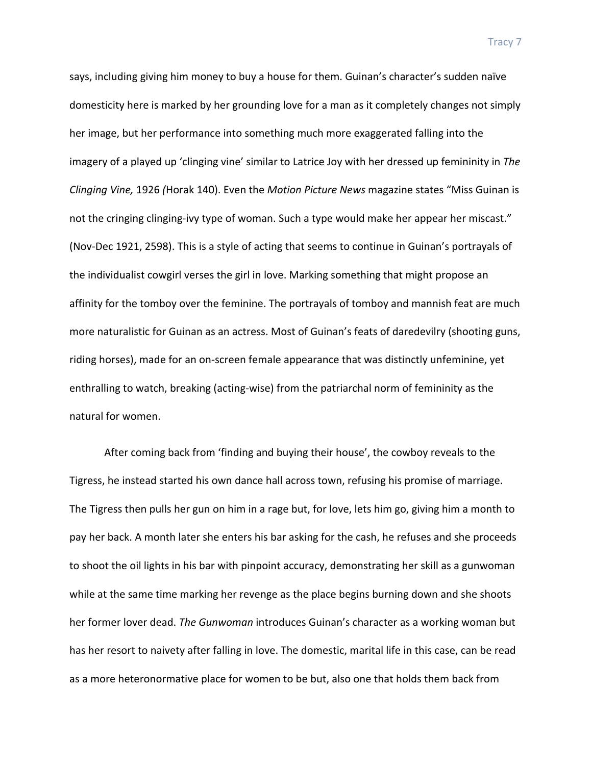says, including giving him money to buy a house for them. Guinan's character's sudden naïve domesticity here is marked by her grounding love for a man as it completely changes not simply her image, but her performance into something much more exaggerated falling into the imagery of a played up 'clinging vine' similar to Latrice Joy with her dressed up femininity in The *Clinging Vine,* 1926 *(Horak 140).* Even the *Motion Picture News* magazine states "Miss Guinan is not the cringing clinging-ivy type of woman. Such a type would make her appear her miscast." (Nov-Dec 1921, 2598). This is a style of acting that seems to continue in Guinan's portrayals of the individualist cowgirl verses the girl in love. Marking something that might propose an affinity for the tomboy over the feminine. The portrayals of tomboy and mannish feat are much more naturalistic for Guinan as an actress. Most of Guinan's feats of daredevilry (shooting guns, riding horses), made for an on-screen female appearance that was distinctly unfeminine, yet enthralling to watch, breaking (acting-wise) from the patriarchal norm of femininity as the natural for women.

After coming back from 'finding and buying their house', the cowboy reveals to the Tigress, he instead started his own dance hall across town, refusing his promise of marriage. The Tigress then pulls her gun on him in a rage but, for love, lets him go, giving him a month to pay her back. A month later she enters his bar asking for the cash, he refuses and she proceeds to shoot the oil lights in his bar with pinpoint accuracy, demonstrating her skill as a gunwoman while at the same time marking her revenge as the place begins burning down and she shoots her former lover dead. *The Gunwoman* introduces Guinan's character as a working woman but has her resort to naivety after falling in love. The domestic, marital life in this case, can be read as a more heteronormative place for women to be but, also one that holds them back from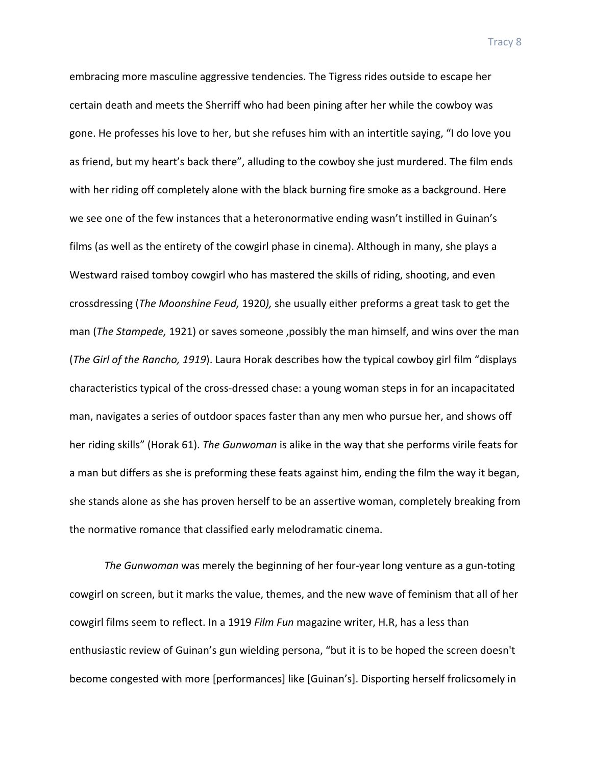embracing more masculine aggressive tendencies. The Tigress rides outside to escape her certain death and meets the Sherriff who had been pining after her while the cowboy was gone. He professes his love to her, but she refuses him with an intertitle saying, "I do love you as friend, but my heart's back there", alluding to the cowboy she just murdered. The film ends with her riding off completely alone with the black burning fire smoke as a background. Here we see one of the few instances that a heteronormative ending wasn't instilled in Guinan's films (as well as the entirety of the cowgirl phase in cinema). Although in many, she plays a Westward raised tomboy cowgirl who has mastered the skills of riding, shooting, and even crossdressing (*The Moonshine Feud,* 1920), she usually either preforms a great task to get the man (*The Stampede,* 1921) or saves someone, possibly the man himself, and wins over the man (*The Girl of the Rancho, 1919*). Laura Horak describes how the typical cowboy girl film "displays" characteristics typical of the cross-dressed chase: a young woman steps in for an incapacitated man, navigates a series of outdoor spaces faster than any men who pursue her, and shows off her riding skills" (Horak 61). *The Gunwoman* is alike in the way that she performs virile feats for a man but differs as she is preforming these feats against him, ending the film the way it began, she stands alone as she has proven herself to be an assertive woman, completely breaking from the normative romance that classified early melodramatic cinema.

*The Gunwoman* was merely the beginning of her four-year long venture as a gun-toting cowgirl on screen, but it marks the value, themes, and the new wave of feminism that all of her cowgirl films seem to reflect. In a 1919 *Film Fun* magazine writer, H.R, has a less than enthusiastic review of Guinan's gun wielding persona, "but it is to be hoped the screen doesn't become congested with more [performances] like [Guinan's]. Disporting herself frolicsomely in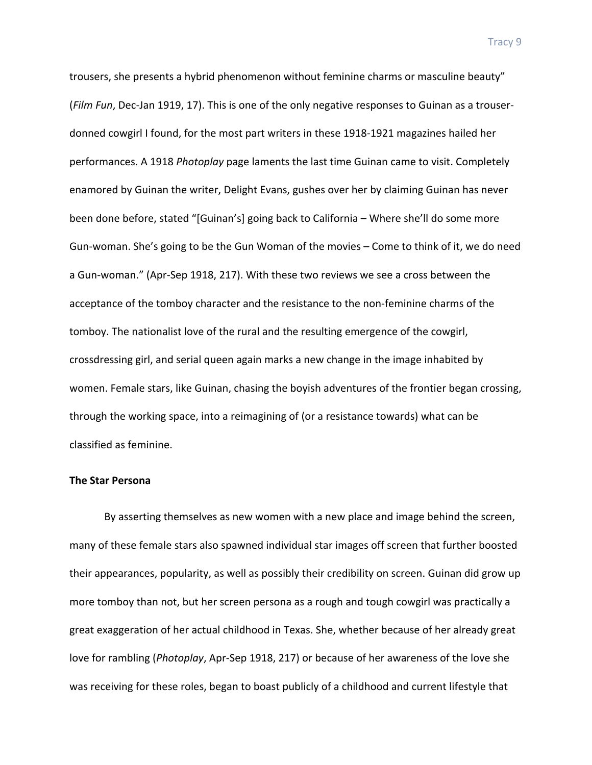trousers, she presents a hybrid phenomenon without feminine charms or masculine beauty" (*Film Fun*, Dec-Jan 1919, 17). This is one of the only negative responses to Guinan as a trouserdonned cowgirl I found, for the most part writers in these 1918-1921 magazines hailed her performances. A 1918 *Photoplay* page laments the last time Guinan came to visit. Completely enamored by Guinan the writer, Delight Evans, gushes over her by claiming Guinan has never been done before, stated "[Guinan's] going back to California - Where she'll do some more Gun-woman. She's going to be the Gun Woman of the movies – Come to think of it, we do need a Gun-woman." (Apr-Sep 1918, 217). With these two reviews we see a cross between the acceptance of the tomboy character and the resistance to the non-feminine charms of the tomboy. The nationalist love of the rural and the resulting emergence of the cowgirl, crossdressing girl, and serial queen again marks a new change in the image inhabited by women. Female stars, like Guinan, chasing the boyish adventures of the frontier began crossing, through the working space, into a reimagining of (or a resistance towards) what can be classified as feminine. 

#### **The Star Persona**

By asserting themselves as new women with a new place and image behind the screen, many of these female stars also spawned individual star images off screen that further boosted their appearances, popularity, as well as possibly their credibility on screen. Guinan did grow up more tomboy than not, but her screen persona as a rough and tough cowgirl was practically a great exaggeration of her actual childhood in Texas. She, whether because of her already great love for rambling (*Photoplay*, Apr-Sep 1918, 217) or because of her awareness of the love she was receiving for these roles, began to boast publicly of a childhood and current lifestyle that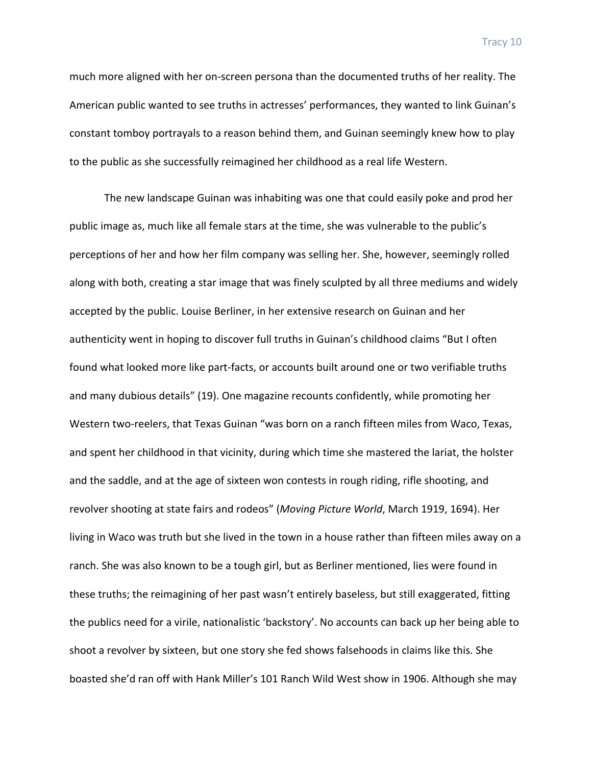much more aligned with her on-screen persona than the documented truths of her reality. The American public wanted to see truths in actresses' performances, they wanted to link Guinan's constant tomboy portrayals to a reason behind them, and Guinan seemingly knew how to play to the public as she successfully reimagined her childhood as a real life Western.

The new landscape Guinan was inhabiting was one that could easily poke and prod her public image as, much like all female stars at the time, she was vulnerable to the public's perceptions of her and how her film company was selling her. She, however, seemingly rolled along with both, creating a star image that was finely sculpted by all three mediums and widely accepted by the public. Louise Berliner, in her extensive research on Guinan and her authenticity went in hoping to discover full truths in Guinan's childhood claims "But I often found what looked more like part-facts, or accounts built around one or two verifiable truths and many dubious details" (19). One magazine recounts confidently, while promoting her Western two-reelers, that Texas Guinan "was born on a ranch fifteen miles from Waco, Texas, and spent her childhood in that vicinity, during which time she mastered the lariat, the holster and the saddle, and at the age of sixteen won contests in rough riding, rifle shooting, and revolver shooting at state fairs and rodeos" (Moving Picture World, March 1919, 1694). Her living in Waco was truth but she lived in the town in a house rather than fifteen miles away on a ranch. She was also known to be a tough girl, but as Berliner mentioned, lies were found in these truths; the reimagining of her past wasn't entirely baseless, but still exaggerated, fitting the publics need for a virile, nationalistic 'backstory'. No accounts can back up her being able to shoot a revolver by sixteen, but one story she fed shows falsehoods in claims like this. She boasted she'd ran off with Hank Miller's 101 Ranch Wild West show in 1906. Although she may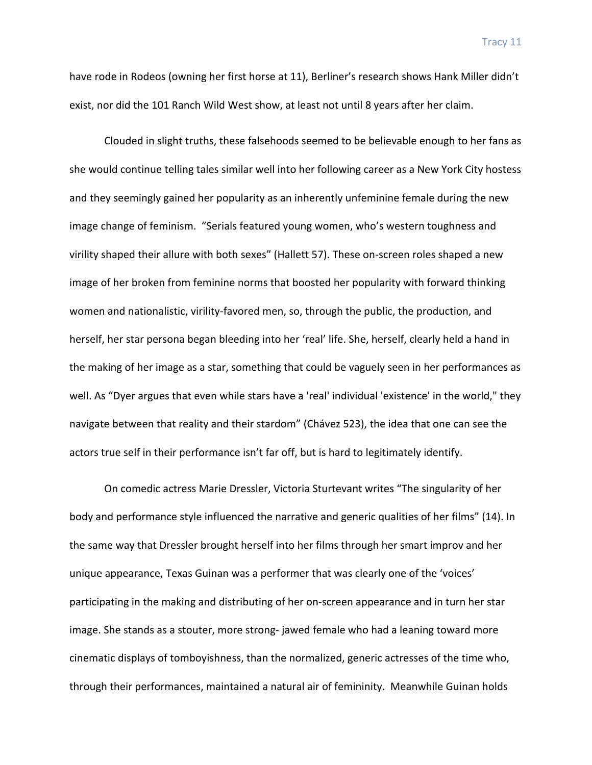have rode in Rodeos (owning her first horse at 11), Berliner's research shows Hank Miller didn't exist, nor did the 101 Ranch Wild West show, at least not until 8 years after her claim.

Clouded in slight truths, these falsehoods seemed to be believable enough to her fans as she would continue telling tales similar well into her following career as a New York City hostess and they seemingly gained her popularity as an inherently unfeminine female during the new image change of feminism. "Serials featured young women, who's western toughness and virility shaped their allure with both sexes" (Hallett 57). These on-screen roles shaped a new image of her broken from feminine norms that boosted her popularity with forward thinking women and nationalistic, virility-favored men, so, through the public, the production, and herself, her star persona began bleeding into her 'real' life. She, herself, clearly held a hand in the making of her image as a star, something that could be vaguely seen in her performances as well. As "Dyer argues that even while stars have a 'real' individual 'existence' in the world," they navigate between that reality and their stardom" (Chávez 523), the idea that one can see the actors true self in their performance isn't far off, but is hard to legitimately identify.

On comedic actress Marie Dressler, Victoria Sturtevant writes "The singularity of her body and performance style influenced the narrative and generic qualities of her films" (14). In the same way that Dressler brought herself into her films through her smart improv and her unique appearance, Texas Guinan was a performer that was clearly one of the 'voices' participating in the making and distributing of her on-screen appearance and in turn her star image. She stands as a stouter, more strong- jawed female who had a leaning toward more cinematic displays of tomboyishness, than the normalized, generic actresses of the time who, through their performances, maintained a natural air of femininity. Meanwhile Guinan holds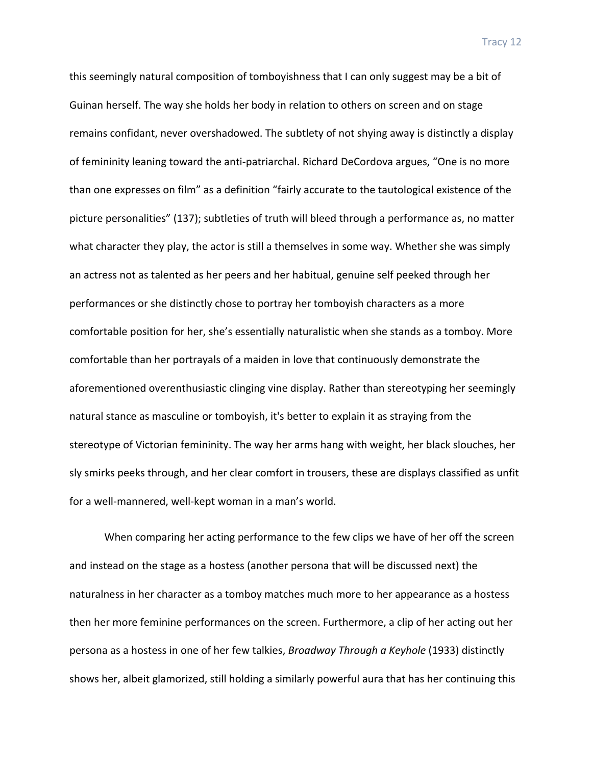this seemingly natural composition of tomboyishness that I can only suggest may be a bit of Guinan herself. The way she holds her body in relation to others on screen and on stage remains confidant, never overshadowed. The subtlety of not shying away is distinctly a display of femininity leaning toward the anti-patriarchal. Richard DeCordova argues, "One is no more than one expresses on film" as a definition "fairly accurate to the tautological existence of the picture personalities" (137); subtleties of truth will bleed through a performance as, no matter what character they play, the actor is still a themselves in some way. Whether she was simply an actress not as talented as her peers and her habitual, genuine self peeked through her performances or she distinctly chose to portray her tomboyish characters as a more comfortable position for her, she's essentially naturalistic when she stands as a tomboy. More comfortable than her portrayals of a maiden in love that continuously demonstrate the aforementioned overenthusiastic clinging vine display. Rather than stereotyping her seemingly natural stance as masculine or tomboyish, it's better to explain it as straying from the stereotype of Victorian femininity. The way her arms hang with weight, her black slouches, her sly smirks peeks through, and her clear comfort in trousers, these are displays classified as unfit for a well-mannered, well-kept woman in a man's world.

When comparing her acting performance to the few clips we have of her off the screen and instead on the stage as a hostess (another persona that will be discussed next) the naturalness in her character as a tomboy matches much more to her appearance as a hostess then her more feminine performances on the screen. Furthermore, a clip of her acting out her persona as a hostess in one of her few talkies, *Broadway Through a Keyhole* (1933) distinctly shows her, albeit glamorized, still holding a similarly powerful aura that has her continuing this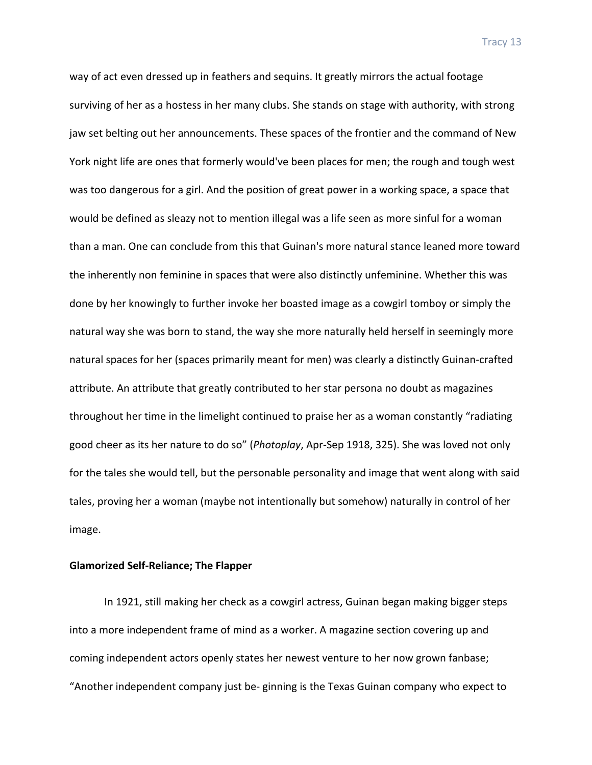way of act even dressed up in feathers and sequins. It greatly mirrors the actual footage surviving of her as a hostess in her many clubs. She stands on stage with authority, with strong jaw set belting out her announcements. These spaces of the frontier and the command of New York night life are ones that formerly would've been places for men; the rough and tough west was too dangerous for a girl. And the position of great power in a working space, a space that would be defined as sleazy not to mention illegal was a life seen as more sinful for a woman than a man. One can conclude from this that Guinan's more natural stance leaned more toward the inherently non feminine in spaces that were also distinctly unfeminine. Whether this was done by her knowingly to further invoke her boasted image as a cowgirl tomboy or simply the natural way she was born to stand, the way she more naturally held herself in seemingly more natural spaces for her (spaces primarily meant for men) was clearly a distinctly Guinan-crafted attribute. An attribute that greatly contributed to her star persona no doubt as magazines throughout her time in the limelight continued to praise her as a woman constantly "radiating good cheer as its her nature to do so" (Photoplay, Apr-Sep 1918, 325). She was loved not only for the tales she would tell, but the personable personality and image that went along with said tales, proving her a woman (maybe not intentionally but somehow) naturally in control of her image.

## **Glamorized Self-Reliance; The Flapper**

In 1921, still making her check as a cowgirl actress, Guinan began making bigger steps into a more independent frame of mind as a worker. A magazine section covering up and coming independent actors openly states her newest venture to her now grown fanbase; "Another independent company just be- ginning is the Texas Guinan company who expect to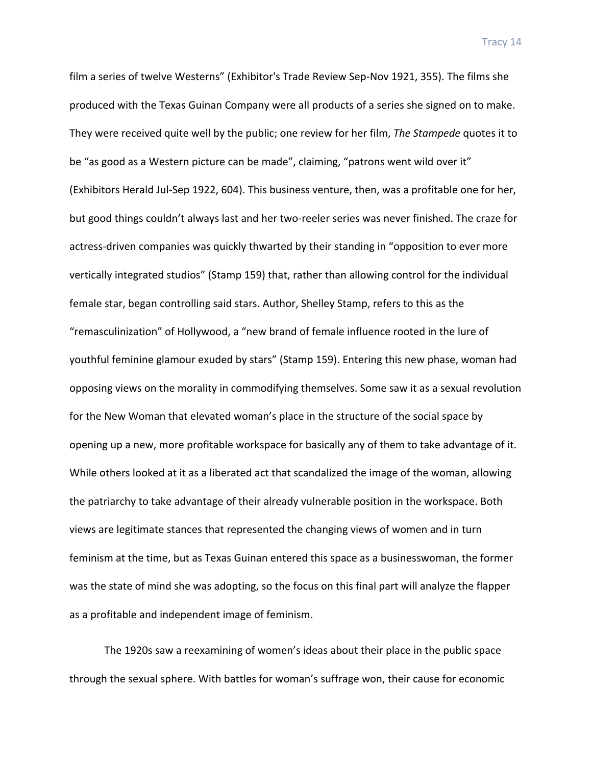film a series of twelve Westerns" (Exhibitor's Trade Review Sep-Nov 1921, 355). The films she produced with the Texas Guinan Company were all products of a series she signed on to make. They were received quite well by the public; one review for her film, *The Stampede* quotes it to be "as good as a Western picture can be made", claiming, "patrons went wild over it" (Exhibitors Herald Jul-Sep 1922, 604). This business venture, then, was a profitable one for her, but good things couldn't always last and her two-reeler series was never finished. The craze for actress-driven companies was quickly thwarted by their standing in "opposition to ever more vertically integrated studios" (Stamp 159) that, rather than allowing control for the individual female star, began controlling said stars. Author, Shelley Stamp, refers to this as the "remasculinization" of Hollywood, a "new brand of female influence rooted in the lure of youthful feminine glamour exuded by stars" (Stamp 159). Entering this new phase, woman had opposing views on the morality in commodifying themselves. Some saw it as a sexual revolution for the New Woman that elevated woman's place in the structure of the social space by opening up a new, more profitable workspace for basically any of them to take advantage of it. While others looked at it as a liberated act that scandalized the image of the woman, allowing the patriarchy to take advantage of their already vulnerable position in the workspace. Both views are legitimate stances that represented the changing views of women and in turn feminism at the time, but as Texas Guinan entered this space as a businesswoman, the former was the state of mind she was adopting, so the focus on this final part will analyze the flapper as a profitable and independent image of feminism.

The 1920s saw a reexamining of women's ideas about their place in the public space through the sexual sphere. With battles for woman's suffrage won, their cause for economic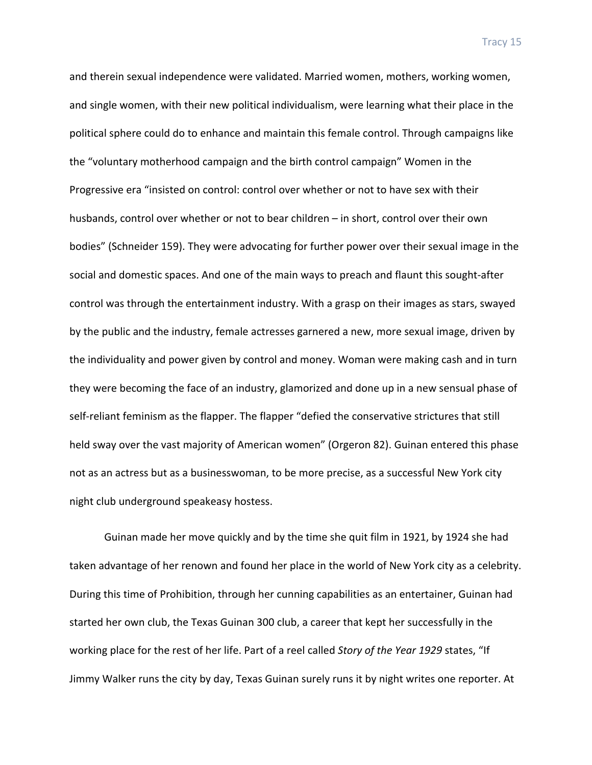and therein sexual independence were validated. Married women, mothers, working women, and single women, with their new political individualism, were learning what their place in the political sphere could do to enhance and maintain this female control. Through campaigns like the "voluntary motherhood campaign and the birth control campaign" Women in the Progressive era "insisted on control: control over whether or not to have sex with their husbands, control over whether or not to bear children – in short, control over their own bodies" (Schneider 159). They were advocating for further power over their sexual image in the social and domestic spaces. And one of the main ways to preach and flaunt this sought-after control was through the entertainment industry. With a grasp on their images as stars, swayed by the public and the industry, female actresses garnered a new, more sexual image, driven by the individuality and power given by control and money. Woman were making cash and in turn they were becoming the face of an industry, glamorized and done up in a new sensual phase of self-reliant feminism as the flapper. The flapper "defied the conservative strictures that still held sway over the vast majority of American women" (Orgeron 82). Guinan entered this phase not as an actress but as a businesswoman, to be more precise, as a successful New York city night club underground speakeasy hostess.

Guinan made her move quickly and by the time she quit film in 1921, by 1924 she had taken advantage of her renown and found her place in the world of New York city as a celebrity. During this time of Prohibition, through her cunning capabilities as an entertainer, Guinan had started her own club, the Texas Guinan 300 club, a career that kept her successfully in the working place for the rest of her life. Part of a reel called *Story of the Year 1929* states, "If Jimmy Walker runs the city by day, Texas Guinan surely runs it by night writes one reporter. At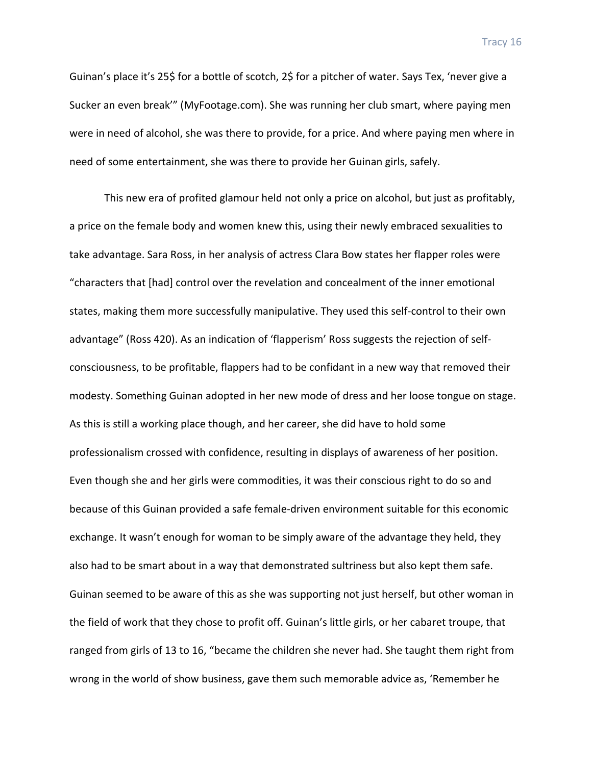Guinan's place it's 25\$ for a bottle of scotch, 2\$ for a pitcher of water. Says Tex, 'never give a Sucker an even break'" (MyFootage.com). She was running her club smart, where paying men were in need of alcohol, she was there to provide, for a price. And where paying men where in need of some entertainment, she was there to provide her Guinan girls, safely.

This new era of profited glamour held not only a price on alcohol, but just as profitably, a price on the female body and women knew this, using their newly embraced sexualities to take advantage. Sara Ross, in her analysis of actress Clara Bow states her flapper roles were "characters that [had] control over the revelation and concealment of the inner emotional states, making them more successfully manipulative. They used this self-control to their own advantage" (Ross 420). As an indication of 'flapperism' Ross suggests the rejection of selfconsciousness, to be profitable, flappers had to be confidant in a new way that removed their modesty. Something Guinan adopted in her new mode of dress and her loose tongue on stage. As this is still a working place though, and her career, she did have to hold some professionalism crossed with confidence, resulting in displays of awareness of her position. Even though she and her girls were commodities, it was their conscious right to do so and because of this Guinan provided a safe female-driven environment suitable for this economic exchange. It wasn't enough for woman to be simply aware of the advantage they held, they also had to be smart about in a way that demonstrated sultriness but also kept them safe. Guinan seemed to be aware of this as she was supporting not just herself, but other woman in the field of work that they chose to profit off. Guinan's little girls, or her cabaret troupe, that ranged from girls of 13 to 16, "became the children she never had. She taught them right from wrong in the world of show business, gave them such memorable advice as, 'Remember he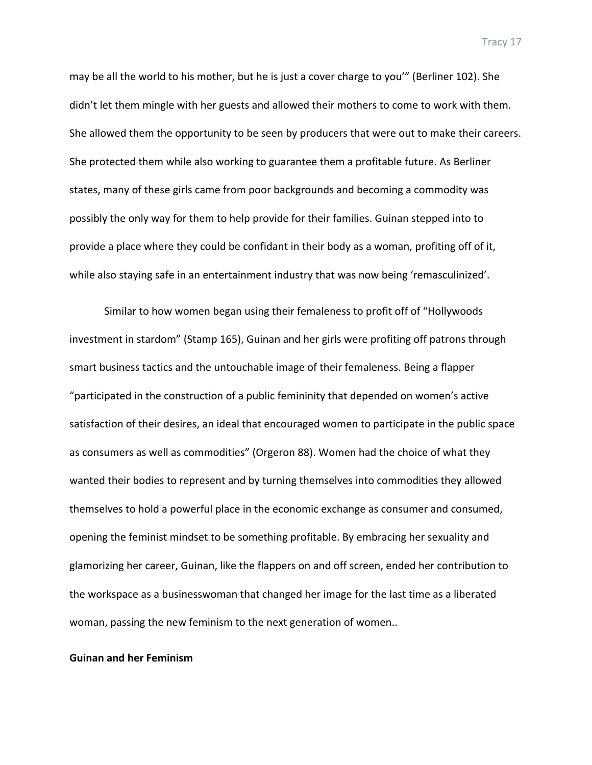may be all the world to his mother, but he is just a cover charge to you'" (Berliner 102). She didn't let them mingle with her guests and allowed their mothers to come to work with them. She allowed them the opportunity to be seen by producers that were out to make their careers. She protected them while also working to guarantee them a profitable future. As Berliner states, many of these girls came from poor backgrounds and becoming a commodity was possibly the only way for them to help provide for their families. Guinan stepped into to provide a place where they could be confidant in their body as a woman, profiting off of it, while also staying safe in an entertainment industry that was now being 'remasculinized'.

Similar to how women began using their femaleness to profit off of "Hollywoods" investment in stardom" (Stamp 165), Guinan and her girls were profiting off patrons through smart business tactics and the untouchable image of their femaleness. Being a flapper "participated in the construction of a public femininity that depended on women's active satisfaction of their desires, an ideal that encouraged women to participate in the public space as consumers as well as commodities" (Orgeron 88). Women had the choice of what they wanted their bodies to represent and by turning themselves into commodities they allowed themselves to hold a powerful place in the economic exchange as consumer and consumed, opening the feminist mindset to be something profitable. By embracing her sexuality and glamorizing her career, Guinan, like the flappers on and off screen, ended her contribution to the workspace as a businesswoman that changed her image for the last time as a liberated woman, passing the new feminism to the next generation of women..

# **Guinan and her Feminism**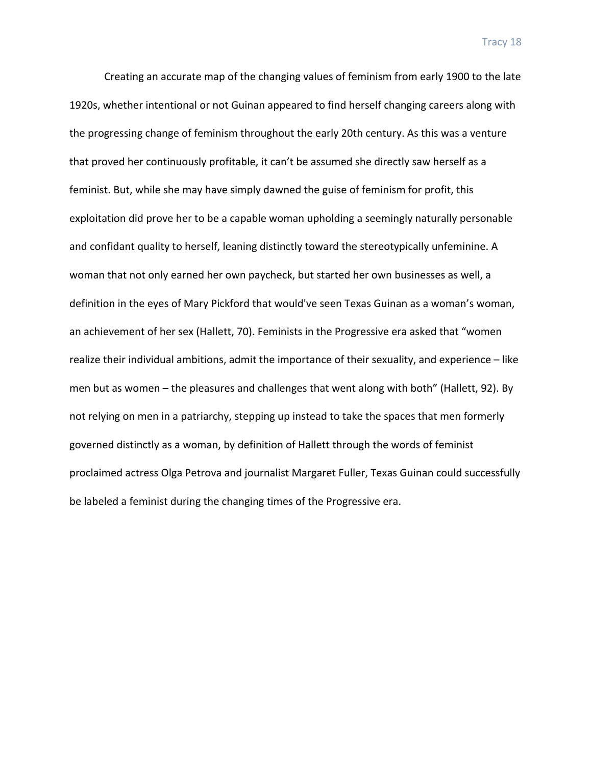Creating an accurate map of the changing values of feminism from early 1900 to the late 1920s, whether intentional or not Guinan appeared to find herself changing careers along with the progressing change of feminism throughout the early 20th century. As this was a venture that proved her continuously profitable, it can't be assumed she directly saw herself as a feminist. But, while she may have simply dawned the guise of feminism for profit, this exploitation did prove her to be a capable woman upholding a seemingly naturally personable and confidant quality to herself, leaning distinctly toward the stereotypically unfeminine. A woman that not only earned her own paycheck, but started her own businesses as well, a definition in the eyes of Mary Pickford that would've seen Texas Guinan as a woman's woman, an achievement of her sex (Hallett, 70). Feminists in the Progressive era asked that "women realize their individual ambitions, admit the importance of their sexuality, and experience  $-$  like men but as women  $-$  the pleasures and challenges that went along with both" (Hallett, 92). By not relying on men in a patriarchy, stepping up instead to take the spaces that men formerly governed distinctly as a woman, by definition of Hallett through the words of feminist proclaimed actress Olga Petrova and journalist Margaret Fuller, Texas Guinan could successfully be labeled a feminist during the changing times of the Progressive era.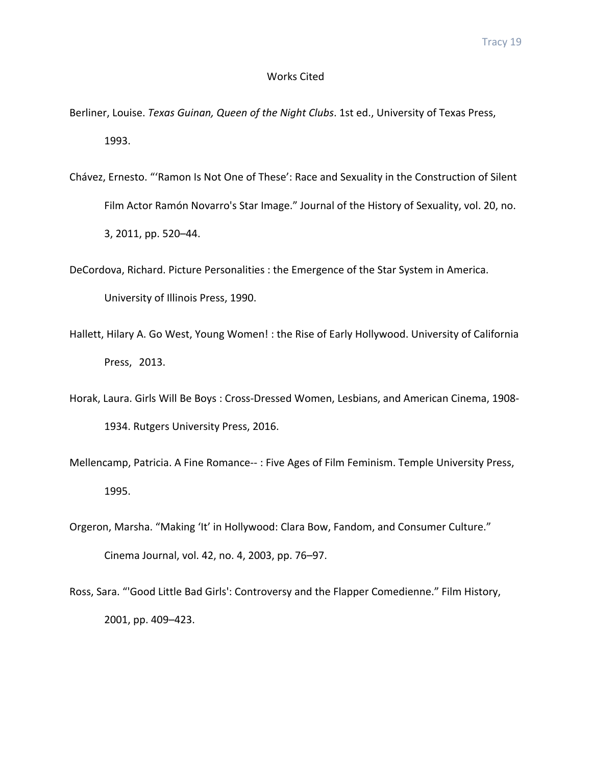# Works Cited

- Berliner, Louise. *Texas Guinan, Queen of the Night Clubs*. 1st ed., University of Texas Press, 1993.
- Chávez, Ernesto. "'Ramon Is Not One of These': Race and Sexuality in the Construction of Silent Film Actor Ramón Novarro's Star Image." Journal of the History of Sexuality, vol. 20, no. 3, 2011, pp. 520–44.
- DeCordova, Richard. Picture Personalities : the Emergence of the Star System in America. University of Illinois Press, 1990.
- Hallett, Hilary A. Go West, Young Women! : the Rise of Early Hollywood. University of California Press, 2013.
- Horak, Laura. Girls Will Be Boys: Cross-Dressed Women, Lesbians, and American Cinema, 1908-1934. Rutgers University Press, 2016.
- Mellencamp, Patricia. A Fine Romance--: Five Ages of Film Feminism. Temple University Press, 1995.
- Orgeron, Marsha. "Making 'It' in Hollywood: Clara Bow, Fandom, and Consumer Culture." Cinema Journal, vol. 42, no. 4, 2003, pp. 76-97.
- Ross, Sara. "'Good Little Bad Girls': Controversy and the Flapper Comedienne." Film History, 2001, pp. 409–423.